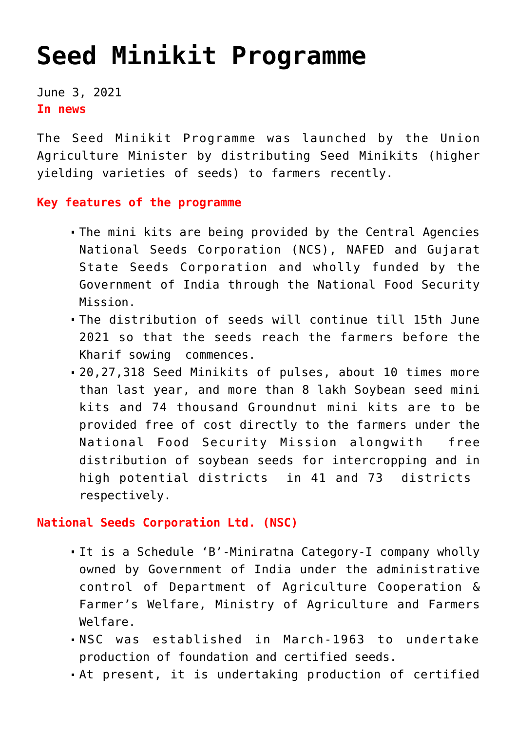## **[Seed Minikit Programme](https://journalsofindia.com/seed-minikit-programme/)**

June 3, 2021 **In news**

The Seed Minikit Programme was launched by the Union Agriculture Minister by distributing Seed Minikits (higher yielding varieties of seeds) to farmers recently.

**Key features of the programme**

- The mini kits are being provided by the Central Agencies National Seeds Corporation (NCS), NAFED and Gujarat State Seeds Corporation and wholly funded by the Government of India through the National Food Security Mission.
- The distribution of seeds will continue till 15th June 2021 so that the seeds reach the farmers before the Kharif sowing commences.
- 20,27,318 Seed Minikits of pulses, about 10 times more than last year, and more than 8 lakh Soybean seed mini kits and 74 thousand Groundnut mini kits are to be provided free of cost directly to the farmers under the National Food Security Mission alongwith free distribution of soybean seeds for intercropping and in high potential districts in 41 and 73 districts respectively.

**National Seeds Corporation Ltd. (NSC)** 

- It is a Schedule 'B'-Miniratna Category-I company wholly owned by Government of India under the administrative control of Department of Agriculture Cooperation & Farmer's Welfare, Ministry of Agriculture and Farmers Welfare.
- NSC was established in March-1963 to undertake production of foundation and certified seeds.
- At present, it is undertaking production of certified